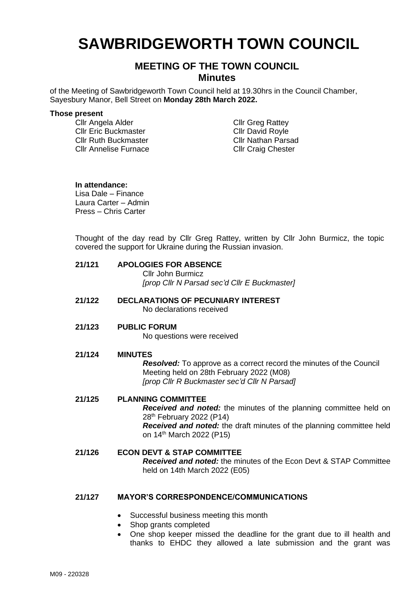# **SAWBRIDGEWORTH TOWN COUNCIL**

## **MEETING OF THE TOWN COUNCIL Minutes**

of the Meeting of Sawbridgeworth Town Council held at 19.30hrs in the Council Chamber, Sayesbury Manor, Bell Street on **Monday 28th March 2022.**

#### **Those present**

Cllr Angela Alder Cllr Eric Buckmaster Cllr Ruth Buckmaster Cllr Annelise Furnace

Cllr Greg Rattey Cllr David Royle Cllr Nathan Parsad Cllr Craig Chester

#### **In attendance:**

Lisa Dale – Finance Laura Carter – Admin Press – Chris Carter

Thought of the day read by Cllr Greg Rattey, written by Cllr John Burmicz, the topic covered the support for Ukraine during the Russian invasion.

| 21/121 | <b>APOLOGIES FOR ABSENCE</b>                 |
|--------|----------------------------------------------|
|        | Cllr John Burmicz                            |
|        | [prop Cllr N Parsad sec'd Cllr E Buckmaster] |

#### **21/122 DECLARATIONS OF PECUNIARY INTEREST** No declarations received

#### **21/123 PUBLIC FORUM**

No questions were received

#### **21/124 MINUTES**

*Resolved:* To approve as a correct record the minutes of the Council Meeting held on 28th February 2022 (M08) *[prop Cllr R Buckmaster sec'd Cllr N Parsad]*

## **21/125 PLANNING COMMITTEE**

*Received and noted:* the minutes of the planning committee held on 28<sup>th</sup> February 2022 (P14)

*Received and noted:* the draft minutes of the planning committee held on 14<sup>th</sup> March 2022 (P15)

#### **21/126 ECON DEVT & STAP COMMITTEE** *Received and noted:* the minutes of the Econ Devt & STAP Committee held on 14th March 2022 (E05)

### **21/127 MAYOR'S CORRESPONDENCE/COMMUNICATIONS**

- Successful business meeting this month
- Shop grants completed
- One shop keeper missed the deadline for the grant due to ill health and thanks to EHDC they allowed a late submission and the grant was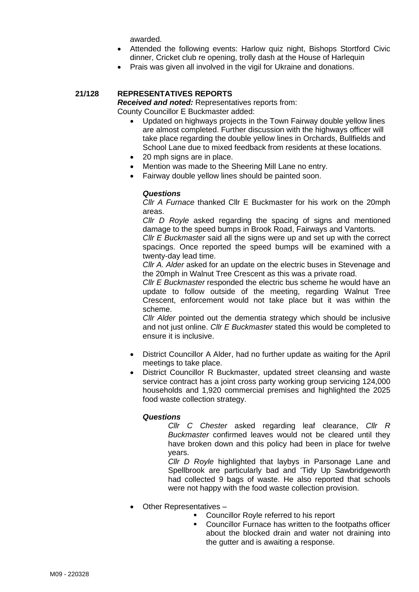awarded.

- Attended the following events: Harlow quiz night, Bishops Stortford Civic dinner, Cricket club re opening, trolly dash at the House of Harlequin
- Prais was given all involved in the vigil for Ukraine and donations.

### **21/128 REPRESENTATIVES REPORTS**

*Received and noted:* Representatives reports from: County Councillor E Buckmaster added:

- Updated on highways projects in the Town Fairway double yellow lines are almost completed. Further discussion with the highways officer will take place regarding the double yellow lines in Orchards, Bullfields and School Lane due to mixed feedback from residents at these locations.
- 20 mph signs are in place.
- Mention was made to the Sheering Mill Lane no entry.
- Fairway double yellow lines should be painted soon.

#### *Questions*

*Cllr A Furnace* thanked Cllr E Buckmaster for his work on the 20mph areas.

*Cllr D Royle* asked regarding the spacing of signs and mentioned damage to the speed bumps in Brook Road, Fairways and Vantorts*.*

*Cllr E Buckmaster* said all the signs were up and set up with the correct spacings. Once reported the speed bumps will be examined with a twenty-day lead time.

*Cllr A. Alder* asked for an update on the electric buses in Stevenage and the 20mph in Walnut Tree Crescent as this was a private road.

*Cllr E Buckmaster* responded the electric bus scheme he would have an update to follow outside of the meeting, regarding Walnut Tree Crescent, enforcement would not take place but it was within the scheme.

*Cllr Alder* pointed out the dementia strategy which should be inclusive and not just online. *Cllr E Buckmaster* stated this would be completed to ensure it is inclusive.

- District Councillor A Alder, had no further update as waiting for the April meetings to take place.
- District Councillor R Buckmaster, updated street cleansing and waste service contract has a joint cross party working group servicing 124,000 households and 1,920 commercial premises and highlighted the 2025 food waste collection strategy.

#### *Questions*

*Cllr C Chester* asked regarding leaf clearance, *Cllr R Buckmaster* confirmed leaves would not be cleared until they have broken down and this policy had been in place for twelve years.

*Cllr D Royle* highlighted that laybys in Parsonage Lane and Spellbrook are particularly bad and 'Tidy Up Sawbridgeworth had collected 9 bags of waste. He also reported that schools were not happy with the food waste collection provision.

- Other Representatives
	- Councillor Royle referred to his report
	- Councillor Furnace has written to the footpaths officer about the blocked drain and water not draining into the gutter and is awaiting a response.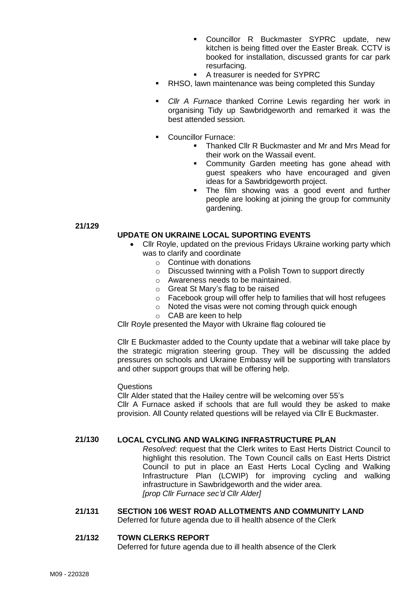- Councillor R Buckmaster SYPRC update, new kitchen is being fitted over the Easter Break. CCTV is booked for installation, discussed grants for car park resurfacing.
- A treasurer is needed for SYPRC
- RHSO, lawn maintenance was being completed this Sunday
- Cllr A Furnace thanked Corrine Lewis regarding her work in organising Tidy up Sawbridgeworth and remarked it was the best attended session*.*
- Councillor Furnace:
	- Thanked Cllr R Buckmaster and Mr and Mrs Mead for their work on the Wassail event.
	- **EXECOMMUNICE:** Community Garden meeting has gone ahead with guest speakers who have encouraged and given ideas for a Sawbridgeworth project.
	- **•** The film showing was a good event and further people are looking at joining the group for community gardening.

**21/129**

#### **UPDATE ON UKRAINE LOCAL SUPORTING EVENTS**

- Cllr Royle, updated on the previous Fridays Ukraine working party which was to clarify and coordinate
	- o Continue with donations
	- o Discussed twinning with a Polish Town to support directly
	- o Awareness needs to be maintained.
	- o Great St Mary's flag to be raised
	- o Facebook group will offer help to families that will host refugees
	- o Noted the visas were not coming through quick enough
	- o CAB are keen to help

Cllr Royle presented the Mayor with Ukraine flag coloured tie

Cllr E Buckmaster added to the County update that a webinar will take place by the strategic migration steering group. They will be discussing the added pressures on schools and Ukraine Embassy will be supporting with translators and other support groups that will be offering help.

#### Questions

Cllr Alder stated that the Hailey centre will be welcoming over 55's Cllr A Furnace asked if schools that are full would they be asked to make provision. All County related questions will be relayed via Cllr E Buckmaster.

#### **21/130 LOCAL CYCLING AND WALKING INFRASTRUCTURE PLAN**

*Resolved*: request that the Clerk writes to East Herts District Council to highlight this resolution. The Town Council calls on East Herts District Council to put in place an East Herts Local Cycling and Walking Infrastructure Plan (LCWIP) for improving cycling and walking infrastructure in Sawbridgeworth and the wider area. *[prop Cllr Furnace sec'd Cllr Alder]*

**21/131 SECTION 106 WEST ROAD ALLOTMENTS AND COMMUNITY LAND** Deferred for future agenda due to ill health absence of the Clerk

#### **21/132 TOWN CLERKS REPORT**

Deferred for future agenda due to ill health absence of the Clerk